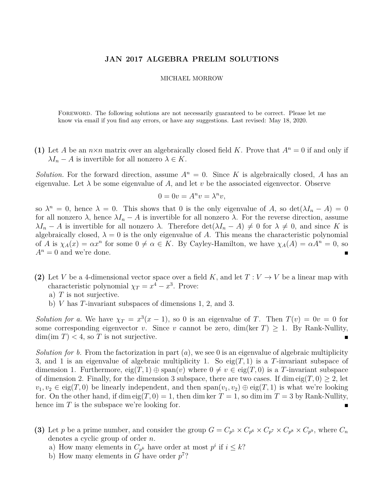## **JAN 2017 ALGEBRA PRELIM SOLUTIONS**

## MICHAEL MORROW

Foreword. The following solutions are not necessarily guaranteed to be correct. Please let me know via email if you find any errors, or have any suggestions. Last revised: May 18, 2020.

(1) Let *A* be an  $n \times n$  matrix over an algebraically closed field *K*. Prove that  $A^n = 0$  if and only if  $\lambda I_n - A$  is invertible for all nonzero  $\lambda \in K$ .

*Solution.* For the forward direction, assume  $A^n = 0$ . Since K is algebraically closed, A has an eigenvalue. Let  $\lambda$  be some eigenvalue of A, and let v be the associated eigenvector. Observe

$$
0 = 0v = A^n v = \lambda^n v,
$$

so  $\lambda^n = 0$ , hence  $\lambda = 0$ . This shows that 0 is the only eigenvalue of *A*, so  $\det(\lambda I_n - A) = 0$ for all nonzero  $\lambda$ , hence  $\lambda I_n - A$  is invertible for all nonzero  $\lambda$ . For the reverse direction, assume  $\lambda I_n - A$  is invertible for all nonzero  $\lambda$ . Therefore  $\det(\lambda I_n - A) \neq 0$  for  $\lambda \neq 0$ , and since *K* is algebraically closed,  $\lambda = 0$  is the only eigenvalue of A. This means the characteristic polynomial of *A* is  $\chi_A(x) = \alpha x^n$  for some  $0 \neq \alpha \in K$ . By Cayley-Hamilton, we have  $\chi_A(A) = \alpha A^n = 0$ , so  $A^n = 0$  and we're done.

- **(2)** Let *V* be a 4-dimensional vector space over a field *K*, and let  $T: V \to V$  be a linear map with characteristic polynomial  $\chi_T = x^4 - x^3$ . Prove:
	- a) *T* is not surjective.
	- b) *V* has *T*-invariant subspaces of dimensions 1, 2, and 3.

*Solution for a.* We have  $\chi_T = x^3(x - 1)$ , so 0 is an eigenvalue of *T*. Then  $T(v) = 0v = 0$  for some corresponding eigenvector *v*. Since *v* cannot be zero, dim(ker  $T$ ) > 1. By Rank-Nullity,  $\dim(\text{im } T) < 4$ , so *T* is not surjective.

*Solution for b.* From the factorization in part (*a*), we see 0 is an eigenvalue of algebraic multiplicity 3, and 1 is an eigenvalue of algebraic multiplicity 1. So  $eig(T, 1)$  is a T-invariant subspace of dimension 1. Furthermore,  $eig(T, 1) \oplus span(v)$  where  $0 \neq v \in eig(T, 0)$  is a *T*-invariant subspace of dimension 2. Finally, for the dimension 3 subspace, there are two cases. If dim eig $(T, 0) \geq 2$ , let  $v_1, v_2 \in \text{eig}(T, 0)$  be linearly independent, and then  $\text{span}(v_1, v_2) \oplus \text{eig}(T, 1)$  is what we're looking for. On the other hand, if dim eig $(T, 0) = 1$ , then dim ker  $T = 1$ , so dim im  $T = 3$  by Rank-Nullity, hence im *T* is the subspace we're looking for.

- (3) Let *p* be a prime number, and consider the group  $G = C_{p^5} \times C_{p^6} \times C_{p^7} \times C_{p^8} \times C_{p^9}$ , where  $C_n$ denotes a cyclic group of order *n*.
	- a) How many elements in  $C_{p^k}$  have order at most  $p^i$  if  $i \leq k$ ?
	- b) How many elements in  $\tilde{G}$  have order  $p^7$ ?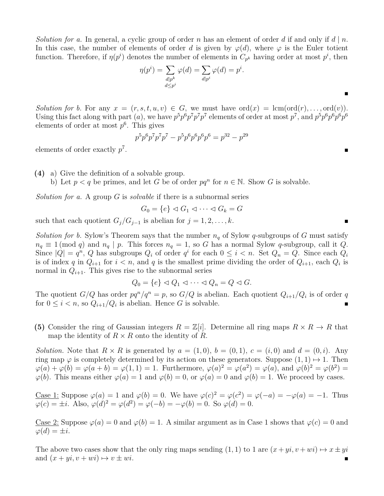*Solution for a.* In general, a cyclic group of order *n* has an element of order *d* if and only if  $d \mid n$ . In this case, the number of elements of order *d* is given by  $\varphi(d)$ , where  $\varphi$  is the Euler totient function. Therefore, if  $\eta(p^i)$  denotes the number of elements in  $C_{p^k}$  having order at most  $p^i$ , then

$$
\eta(p^i) = \sum_{\substack{d \mid p^k \\ d \le p^i}} \varphi(d) = \sum_{d \mid p^i} \varphi(d) = p^i.
$$

*Solution for b.* For any  $x = (r, s, t, u, v) \in G$ , we must have ord $(x) = \text{lcm}(\text{ord}(r), \ldots, \text{ord}(v))$ . Using this fact along with part (*a*), we have  $p^5 p^6 p^7 p^7 p^7$  elements of order at most  $p^7$ , and  $p^5 p^6 p^6 p^6 p^6$ elements of order at most *p* 6 . This gives

$$
p5p6p7p7p7 - p5p6p6p6p6 = p32 - p29
$$

elements of order exactly *p* 7 . In the second control of the second control of the second control of the second control of

**(4)** a) Give the definition of a solvable group.

b) Let  $p < q$  be primes, and let *G* be of order  $pq^n$  for  $n \in \mathbb{N}$ . Show *G* is solvable.

*Solution for a.* A group *G* is *solvable* if there is a subnormal series

$$
G_0 = \{e\} \lhd G_1 \lhd \cdots \lhd G_k = G
$$

such that each quotient  $G_j/G_{j-1}$  is abelian for  $j = 1, 2, \ldots, k$ .

*Solution for b.* Sylow's Theorem says that the number  $n_q$  of Sylow *q*-subgroups of *G* must satisfy  $n_q \equiv 1 \pmod{q}$  and  $n_q \mid p$ . This forces  $n_q = 1$ , so *G* has a normal Sylow *q*-subgroup, call it *Q*. Since  $|Q| = q^n$ , *Q* has subgroups  $Q_i$  of order  $q^i$  for each  $0 \le i < n$ . Set  $Q_n = Q$ . Since each  $Q_i$ is of index *q* in  $Q_{i+1}$  for  $i < n$ , and *q* is the smallest prime dividing the order of  $Q_{i+1}$ , each  $Q_i$  is normal in  $Q_{i+1}$ . This gives rise to the subnormal series

$$
Q_0 = \{e\} \lhd Q_1 \lhd \cdots \lhd Q_n = Q \lhd G.
$$

The quotient  $G/Q$  has order  $pq^n/q^n = p$ , so  $G/Q$  is abelian. Each quotient  $Q_{i+1}/Q_i$  is of order q for  $0 \leq i < n$ , so  $Q_{i+1}/Q_i$  is abelian. Hence *G* is solvable.

**(5)** Consider the ring of Gaussian integers  $R = \mathbb{Z}[i]$ . Determine all ring maps  $R \times R \to R$  that map the identity of  $R \times R$  onto the identity of  $R$ .

*Solution.* Note that  $R \times R$  is generated by  $a = (1,0), b = (0,1), c = (i,0)$  and  $d = (0,i)$ . Any ring map  $\varphi$  is completely determined by its action on these generators. Suppose  $(1,1) \mapsto 1$ . Then  $\varphi(a) + \varphi(b) = \varphi(a+b) = \varphi(1,1) = 1$ . Furthermore,  $\varphi(a)^2 = \varphi(a^2) = \varphi(a)$ , and  $\varphi(b)^2 = \varphi(b^2) =$  $\varphi(b)$ . This means either  $\varphi(a) = 1$  and  $\varphi(b) = 0$ , or  $\varphi(a) = 0$  and  $\varphi(b) = 1$ . We proceed by cases.

Case 1: Suppose  $\varphi(a) = 1$  and  $\varphi(b) = 0$ . We have  $\varphi(c)^2 = \varphi(c^2) = \varphi(-a) = -\varphi(a) = -1$ . Thus  $\varphi(c) = \pm i$ . Also,  $\varphi(d)^2 = \varphi(d^2) = \varphi(-b) = -\varphi(b) = 0$ . So  $\varphi(d) = 0$ .

Case 2: Suppose  $\varphi(a) = 0$  and  $\varphi(b) = 1$ . A similar argument as in Case 1 shows that  $\varphi(c) = 0$  and  $\varphi(d) = \pm i$ .

The above two cases show that the only ring maps sending  $(1, 1)$  to 1 are  $(x + yi, v + wi) \mapsto x \pm yi$ and  $(x + yi, v + wi) \mapsto v \pm wi$ .

 $\blacksquare$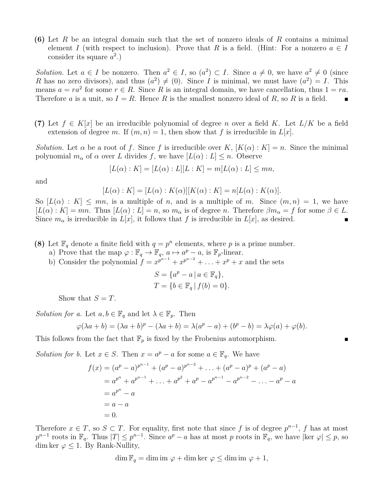**(6)** Let *R* be an integral domain such that the set of nonzero ideals of *R* contains a minimal element *I* (with respect to inclusion). Prove that *R* is a field. (Hint: For a nonzero  $a \in I$ consider its square  $a^2$ .)

*Solution.* Let  $a \in I$  be nonzero. Then  $a^2 \in I$ , so  $(a^2) \subset I$ . Since  $a \neq 0$ , we have  $a^2 \neq 0$  (since *R* has no zero divisors), and thus  $(a^2) \neq (0)$ . Since *I* is minimal, we must have  $(a^2) = I$ . This means  $a = ra^2$  for some  $r \in R$ . Since R is an integral domain, we have cancellation, thus  $1 = ra$ . Therefore *a* is a unit, so  $I = R$ . Hence *R* is the smallest nonzero ideal of *R*, so *R* is a field.

**(7)** Let  $f \in K[x]$  be an irreducible polynomial of degree *n* over a field K. Let  $L/K$  be a field extension of degree *m*. If  $(m, n) = 1$ , then show that *f* is irreducible in  $L|x|$ .

*Solution.* Let  $\alpha$  be a root of *f*. Since *f* is irreducible over *K*,  $[K(\alpha): K] = n$ . Since the minimal polynomial  $m_{\alpha}$  of  $\alpha$  over *L* divides *f*, we have  $[L(\alpha):L] \leq n$ . Observe

$$
[L(\alpha) : K] = [L(\alpha) : L][L : K] = m[L(\alpha) : L] \le mn,
$$

and

$$
[L(\alpha):K] = [L(\alpha):K(\alpha)][K(\alpha):K] = n[L(\alpha):K(\alpha)].
$$

So  $[L(\alpha): K] \leq mn$ , is a multiple of *n*, and is a multiple of *m*. Since  $(m, n) = 1$ , we have  $[L(\alpha):K] = mn$ . Thus  $[L(\alpha):L] = n$ , so  $m_{\alpha}$  is of degree *n*. Therefore  $\beta m_{\alpha} = f$  for some  $\beta \in L$ . Since  $m_{\alpha}$  is irreducible in  $L[x]$ , it follows that *f* is irreducible in  $L[x]$ , as desired.

- **(8)** Let  $\mathbb{F}_q$  denote a finite field with  $q = p^n$  elements, where p is a prime number.
	- a) Prove that the map  $\varphi : \mathbb{F}_q \to \mathbb{F}_q$ ,  $a \mapsto a^p a$ , is  $\mathbb{F}_p$ -linear.
	- b) Consider the polynomial  $f = x^{p^{n-1}} + x^{p^{n-2}} + \ldots + x^p + x$  and the sets

$$
S = \{a^p - a \mid a \in \mathbb{F}_q\},\
$$
  

$$
T = \{b \in \mathbb{F}_q \mid f(b) = 0\}.
$$

Show that  $S = T$ .

*Solution for a.* Let  $a, b \in \mathbb{F}_q$  and let  $\lambda \in \mathbb{F}_p$ . Then

$$
\varphi(\lambda a + b) = (\lambda a + b)^p - (\lambda a + b) = \lambda(a^p - a) + (b^p - b) = \lambda \varphi(a) + \varphi(b).
$$

This follows from the fact that  $\mathbb{F}_p$  is fixed by the Frobenius automorphism.

*Solution for b.* Let  $x \in S$ . Then  $x = a^p - a$  for some  $a \in \mathbb{F}_q$ . We have

$$
f(x) = (ap - a)pn-1 + (ap - a)pn-2 + ... + (ap - a)p + (ap - a)
$$
  
= a<sup>p<sup>n</sup></sup> + a<sup>p<sup>n-1</sup></sup> + ... + a<sup>p<sup>2</sup></sup> + a<sup>p</sup> - a<sup>p<sup>n-1</sup></sup> - a<sup>p<sup>n-2</sup></sup> - ... - a<sup>p</sup> - a  
= a<sup>p<sup>n</sup></sup> - a  
= a - a  
= 0.

Therefore  $x \in T$ , so  $S \subset T$ . For equality, first note that since f is of degree  $p^{n-1}$ , f has at most  $p^{n-1}$  roots in  $\mathbb{F}_q$ . Thus  $|T| \leq p^{n-1}$ . Since  $a^p - a$  has at most *p* roots in  $\mathbb{F}_q$ , we have  $|\text{ker } \varphi| \leq p$ , so dim ker  $\varphi \leq 1$ . By Rank-Nullity,

$$
\dim \mathbb{F}_q = \dim \mathrm{im} \, \varphi + \dim \ker \, \varphi \le \dim \mathrm{im} \, \varphi + 1,
$$